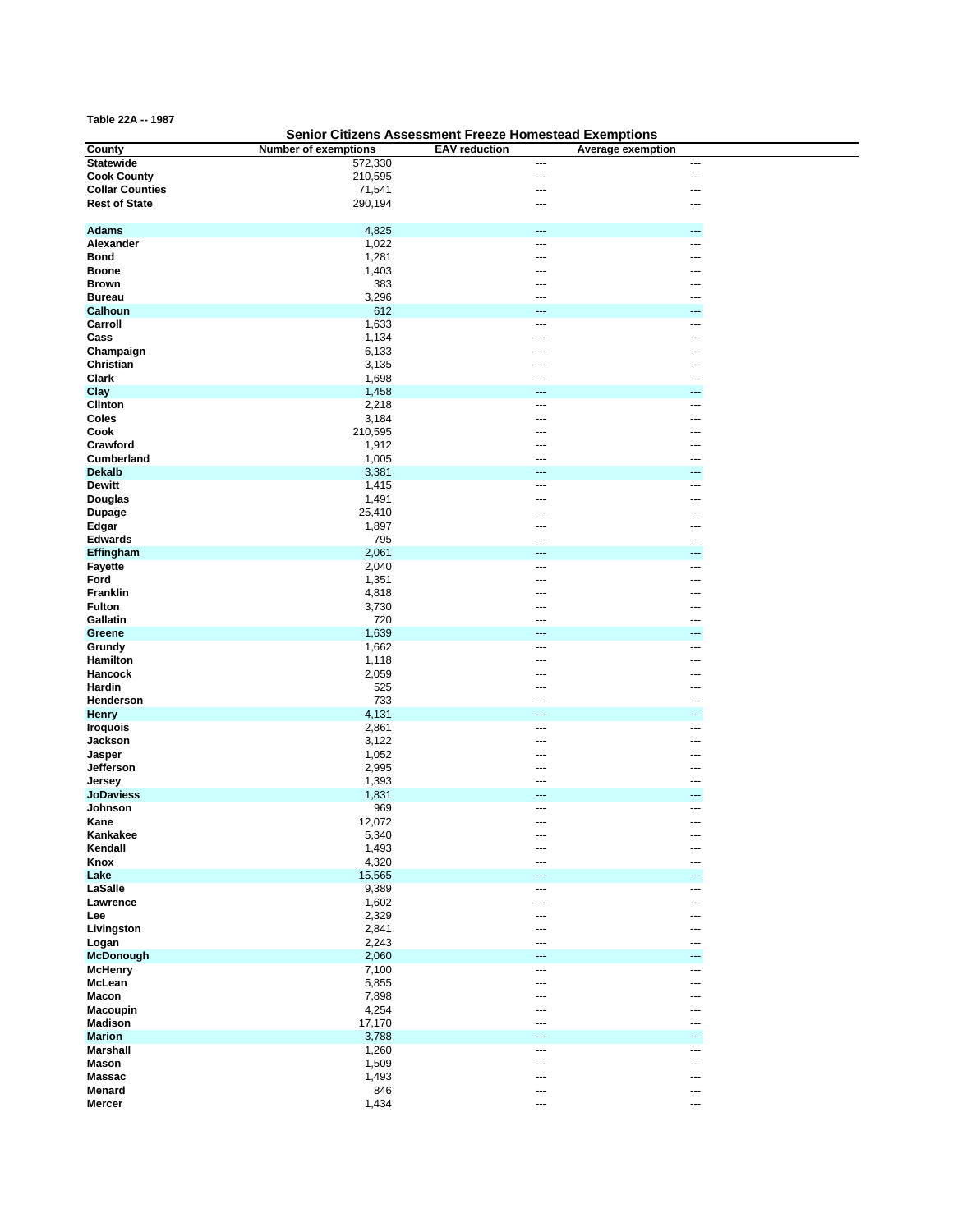**Table 22A -- 1987**

## **Senior Citizens Assessment Freeze Homestead Exemptions**

<u>a sa salah sahi</u>

| County                 | <b>Number of exemptions</b> | <b>EAV</b> reduction | Average exemption        |
|------------------------|-----------------------------|----------------------|--------------------------|
| <b>Statewide</b>       | 572,330                     | ---                  | ---                      |
| <b>Cook County</b>     | 210,595                     | ---                  | ---                      |
| <b>Collar Counties</b> | 71,541                      | ---                  | ---                      |
| <b>Rest of State</b>   | 290,194                     | ---                  | $\overline{\phantom{a}}$ |
|                        |                             |                      |                          |
|                        |                             |                      |                          |
| <b>Adams</b>           | 4,825                       | ---                  | ---                      |
| Alexander              | 1,022                       | ---                  | $\overline{a}$           |
| <b>Bond</b>            | 1,281                       | ---                  | ---                      |
| <b>Boone</b>           | 1,403                       |                      |                          |
| <b>Brown</b>           | 383                         | ---                  |                          |
| <b>Bureau</b>          | 3,296                       | ---                  | ---                      |
| Calhoun                | 612                         |                      | ---                      |
|                        |                             |                      |                          |
| Carroll                | 1,633                       | ---                  | $\overline{\phantom{a}}$ |
| Cass                   | 1,134                       | ---                  | ---                      |
| Champaign              | 6,133                       |                      |                          |
| Christian              | 3,135                       |                      |                          |
| Clark                  | 1,698                       | ---                  | ---                      |
| Clay                   | 1,458                       | ---                  | ---                      |
| Clinton                | 2,218                       | ---                  |                          |
| Coles                  | 3,184                       | ---                  | ---                      |
| Cook                   |                             | ---                  | ---                      |
|                        | 210,595                     |                      |                          |
| Crawford               | 1,912                       | ---                  | ---                      |
| Cumberland             | 1,005                       | ---                  | ---                      |
| <b>Dekalb</b>          | 3,381                       | ---                  | ---                      |
| <b>Dewitt</b>          | 1,415                       | ---                  | $\overline{\phantom{a}}$ |
| <b>Douglas</b>         | 1,491                       |                      | ---                      |
| <b>Dupage</b>          | 25,410                      |                      |                          |
| Edgar                  | 1,897                       |                      |                          |
| <b>Edwards</b>         | 795                         | ---                  | ---                      |
|                        |                             |                      |                          |
| Effingham              | 2,061                       | ---                  | ---                      |
| <b>Fayette</b>         | 2,040                       | ---                  | ---                      |
| Ford                   | 1,351                       |                      |                          |
| <b>Franklin</b>        | 4,818                       | ---                  | ---                      |
| <b>Fulton</b>          | 3,730                       |                      |                          |
| Gallatin               | 720                         | ---                  | ---                      |
| Greene                 | 1,639                       | ---                  | ---                      |
| Grundy                 | 1,662                       | ---                  | ---                      |
| Hamilton               | 1,118                       | ---                  | ---                      |
| Hancock                | 2,059                       | ---                  | ---                      |
| Hardin                 |                             | ---                  |                          |
|                        | 525                         |                      | ---                      |
| Henderson              | 733                         |                      | ---                      |
| <b>Henry</b>           | 4,131                       | ---                  | ---                      |
| <b>Iroquois</b>        | 2,861                       | ---                  | ---                      |
| Jackson                | 3,122                       | ---                  | ---                      |
| Jasper                 | 1,052                       | ---                  | ---                      |
| Jefferson              | 2,995                       | ---                  | ---                      |
| Jersey                 | 1,393                       | ---                  | ---                      |
| <b>JoDaviess</b>       | 1,831                       |                      | ---                      |
| Johnson                | 969                         | ---                  | $\overline{a}$           |
| Kane                   | 12,072                      | ---                  | $---$                    |
|                        | 5,340                       | ---                  | ---                      |
| Kankakee<br>Kendall    | 1,493                       |                      | ---                      |
|                        |                             | ---                  |                          |
| Knox                   | 4,320                       | ---                  | ---                      |
| Lake                   | 15,565                      | ---                  | $\cdots$                 |
| LaSalle                | 9,389                       | ---                  | ---                      |
| Lawrence               | 1,602                       | ---                  | ---                      |
| Lee                    | 2,329                       | ---                  | ---                      |
| Livingston             | 2,841                       | ---                  | ---                      |
| Logan                  | 2,243                       |                      | ---                      |
| <b>McDonough</b>       | 2,060                       |                      | ---                      |
| <b>McHenry</b>         | 7,100                       | ---                  | $\overline{a}$           |
| McLean                 |                             | ---                  | ---                      |
|                        | 5,855                       |                      |                          |
| Macon                  | 7,898                       | ---                  | $---$                    |
| <b>Macoupin</b>        | 4,254                       | ---                  | ---                      |
| <b>Madison</b>         | 17,170                      | ---                  | ---                      |
| <b>Marion</b>          | 3,788                       | ---                  | ---                      |
| <b>Marshall</b>        | 1,260                       | ---                  | $\overline{\phantom{a}}$ |
| <b>Mason</b>           | 1,509                       | ---                  | ---                      |
| <b>Massac</b>          | 1,493                       | ---                  | ---                      |
| <b>Menard</b>          | 846                         | ---                  | ---                      |
| <b>Mercer</b>          | 1,434                       | ---                  | $\overline{\phantom{a}}$ |
|                        |                             |                      |                          |